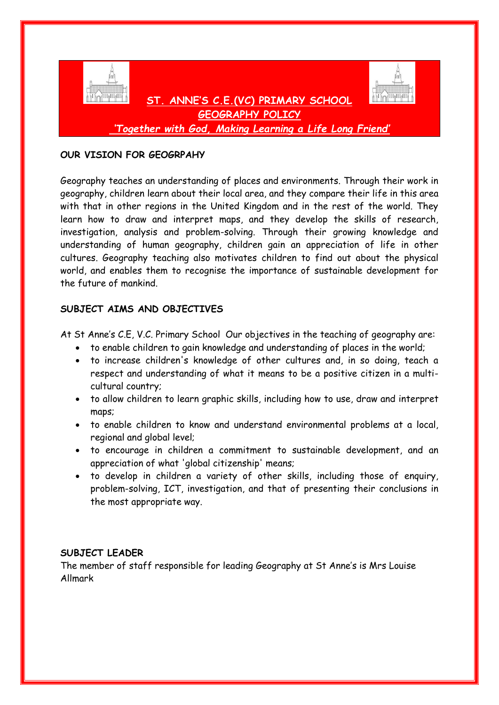

## **OUR VISION FOR GEOGRPAHY**

Geography teaches an understanding of places and environments. Through their work in geography, children learn about their local area, and they compare their life in this area with that in other regions in the United Kingdom and in the rest of the world. They learn how to draw and interpret maps, and they develop the skills of research, investigation, analysis and problem-solving. Through their growing knowledge and understanding of human geography, children gain an appreciation of life in other cultures. Geography teaching also motivates children to find out about the physical world, and enables them to recognise the importance of sustainable development for the future of mankind.

# **SUBJECT AIMS AND OBJECTIVES**

At St Anne's C.E, V.C. Primary School Our objectives in the teaching of geography are:

- to enable children to gain knowledge and understanding of places in the world;
- to increase children's knowledge of other cultures and, in so doing, teach a respect and understanding of what it means to be a positive citizen in a multicultural country;
- to allow children to learn graphic skills, including how to use, draw and interpret maps;
- to enable children to know and understand environmental problems at a local, regional and global level;
- to encourage in children a commitment to sustainable development, and an appreciation of what 'global citizenship' means;
- to develop in children a variety of other skills, including those of enquiry, problem-solving, ICT, investigation, and that of presenting their conclusions in the most appropriate way.

# **SUBJECT LEADER**

The member of staff responsible for leading Geography at St Anne's is Mrs Louise Allmark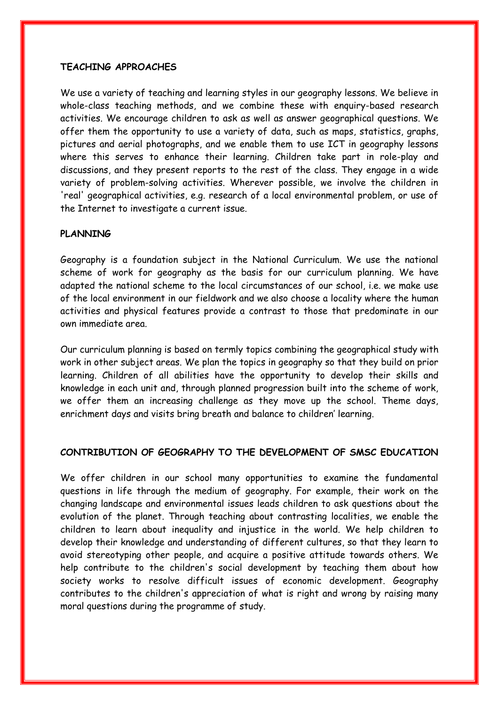### **TEACHING APPROACHES**

We use a variety of teaching and learning styles in our geography lessons. We believe in whole-class teaching methods, and we combine these with enquiry-based research activities. We encourage children to ask as well as answer geographical questions. We offer them the opportunity to use a variety of data, such as maps, statistics, graphs, pictures and aerial photographs, and we enable them to use ICT in geography lessons where this serves to enhance their learning. Children take part in role-play and discussions, and they present reports to the rest of the class. They engage in a wide variety of problem-solving activities. Wherever possible, we involve the children in 'real' geographical activities, e.g. research of a local environmental problem, or use of the Internet to investigate a current issue.

#### **PLANNING**

Geography is a foundation subject in the National Curriculum. We use the national scheme of work for geography as the basis for our curriculum planning. We have adapted the national scheme to the local circumstances of our school, i.e. we make use of the local environment in our fieldwork and we also choose a locality where the human activities and physical features provide a contrast to those that predominate in our own immediate area.

Our curriculum planning is based on termly topics combining the geographical study with work in other subject areas. We plan the topics in geography so that they build on prior learning. Children of all abilities have the opportunity to develop their skills and knowledge in each unit and, through planned progression built into the scheme of work, we offer them an increasing challenge as they move up the school. Theme days, enrichment days and visits bring breath and balance to children' learning.

### **CONTRIBUTION OF GEOGRAPHY TO THE DEVELOPMENT OF SMSC EDUCATION**

We offer children in our school many opportunities to examine the fundamental questions in life through the medium of geography. For example, their work on the changing landscape and environmental issues leads children to ask questions about the evolution of the planet. Through teaching about contrasting localities, we enable the children to learn about inequality and injustice in the world. We help children to develop their knowledge and understanding of different cultures, so that they learn to avoid stereotyping other people, and acquire a positive attitude towards others. We help contribute to the children's social development by teaching them about how society works to resolve difficult issues of economic development. Geography contributes to the children's appreciation of what is right and wrong by raising many moral questions during the programme of study.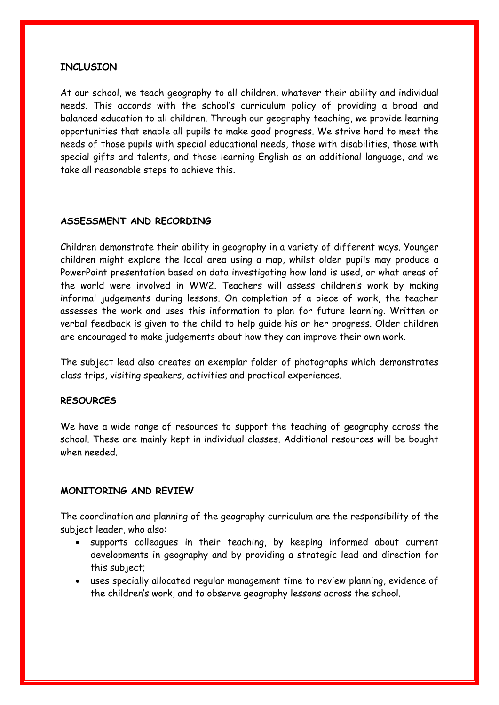### **INCLUSION**

At our school, we teach geography to all children, whatever their ability and individual needs. This accords with the school's curriculum policy of providing a broad and balanced education to all children. Through our geography teaching, we provide learning opportunities that enable all pupils to make good progress. We strive hard to meet the needs of those pupils with special educational needs, those with disabilities, those with special gifts and talents, and those learning English as an additional language, and we take all reasonable steps to achieve this.

### **ASSESSMENT AND RECORDING**

Children demonstrate their ability in geography in a variety of different ways. Younger children might explore the local area using a map, whilst older pupils may produce a PowerPoint presentation based on data investigating how land is used, or what areas of the world were involved in WW2. Teachers will assess children's work by making informal judgements during lessons. On completion of a piece of work, the teacher assesses the work and uses this information to plan for future learning. Written or verbal feedback is given to the child to help guide his or her progress. Older children are encouraged to make judgements about how they can improve their own work.

The subject lead also creates an exemplar folder of photographs which demonstrates class trips, visiting speakers, activities and practical experiences.

### **RESOURCES**

We have a wide range of resources to support the teaching of geography across the school. These are mainly kept in individual classes. Additional resources will be bought when needed.

### **MONITORING AND REVIEW**

The coordination and planning of the geography curriculum are the responsibility of the subject leader, who also:

- supports colleagues in their teaching, by keeping informed about current developments in geography and by providing a strategic lead and direction for this subject;
- uses specially allocated regular management time to review planning, evidence of the children's work, and to observe geography lessons across the school.